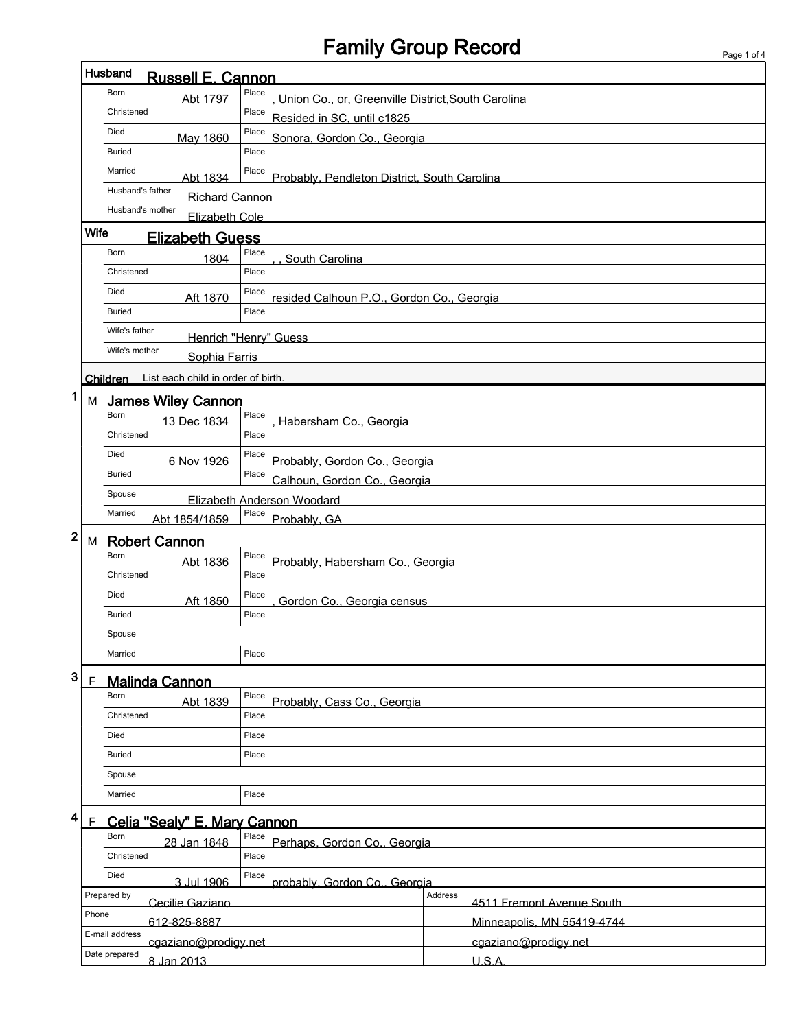## Family Group Record

|                                                              | Husband<br><b>Russell E. Cannon</b> |                                               |                                                             |                                      |  |  |
|--------------------------------------------------------------|-------------------------------------|-----------------------------------------------|-------------------------------------------------------------|--------------------------------------|--|--|
|                                                              |                                     | Born<br>Abt 1797                              | Place<br>Union Co., or, Greenville District, South Carolina |                                      |  |  |
|                                                              |                                     | Christened                                    | Place<br>Resided in SC, until c1825                         |                                      |  |  |
|                                                              |                                     | Died<br>May 1860                              | Place<br>Sonora, Gordon Co., Georgia                        |                                      |  |  |
|                                                              |                                     | <b>Buried</b>                                 | Place                                                       |                                      |  |  |
|                                                              |                                     | Married<br>Abt 1834                           | Place<br>Probably, Pendleton District, South Carolina       |                                      |  |  |
|                                                              |                                     | Husband's father<br><b>Richard Cannon</b>     |                                                             |                                      |  |  |
|                                                              | Husband's mother<br>Elizabeth Cole  |                                               |                                                             |                                      |  |  |
|                                                              | Wife                                | <b>Elizabeth Guess</b>                        |                                                             |                                      |  |  |
|                                                              |                                     | Born<br>1804                                  | Place<br>South Carolina                                     |                                      |  |  |
|                                                              |                                     | Christened                                    | Place                                                       |                                      |  |  |
|                                                              |                                     | Died<br>Aft 1870                              | Place<br>resided Calhoun P.O., Gordon Co., Georgia          |                                      |  |  |
|                                                              |                                     | <b>Buried</b>                                 | Place                                                       |                                      |  |  |
|                                                              |                                     | Wife's father<br><b>Henrich "Henry" Guess</b> |                                                             |                                      |  |  |
|                                                              |                                     | Wife's mother<br>Sophia Farris                |                                                             |                                      |  |  |
|                                                              |                                     | Children List each child in order of birth.   |                                                             |                                      |  |  |
| 1                                                            | M                                   | <b>James Wiley Cannon</b>                     |                                                             |                                      |  |  |
|                                                              |                                     | Born<br>13 Dec 1834                           | Place<br>Habersham Co., Georgia                             |                                      |  |  |
|                                                              |                                     | Christened                                    | Place                                                       |                                      |  |  |
|                                                              |                                     | Died<br>6 Nov 1926                            | Place<br>Probably, Gordon Co., Georgia                      |                                      |  |  |
|                                                              |                                     | <b>Buried</b>                                 | Place<br>Calhoun, Gordon Co., Georgia                       |                                      |  |  |
|                                                              |                                     | Spouse                                        | Elizabeth Anderson Woodard                                  |                                      |  |  |
|                                                              |                                     | Married<br>Abt 1854/1859                      | Place<br>Probably, GA                                       |                                      |  |  |
| $\mathbf{2}$                                                 | M                                   | <b>Robert Cannon</b>                          |                                                             |                                      |  |  |
|                                                              |                                     | Born<br>Abt 1836                              | Place<br>Probably, Habersham Co., Georgia                   |                                      |  |  |
|                                                              |                                     | Christened                                    | Place                                                       |                                      |  |  |
|                                                              |                                     | Died<br>Aft 1850                              | Place                                                       | Gordon Co., Georgia census           |  |  |
|                                                              |                                     | <b>Buried</b>                                 | Place                                                       |                                      |  |  |
| Spouse                                                       |                                     |                                               |                                                             |                                      |  |  |
|                                                              |                                     | Married                                       | Place                                                       |                                      |  |  |
| 3                                                            | $\mathsf{F}$                        | <b>Malinda Cannon</b>                         |                                                             |                                      |  |  |
|                                                              |                                     | Born<br>Abt 1839                              | Place<br>Probably, Cass Co., Georgia                        |                                      |  |  |
|                                                              |                                     | Christened                                    | Place                                                       |                                      |  |  |
|                                                              |                                     | Died                                          | Place                                                       |                                      |  |  |
|                                                              |                                     | <b>Buried</b>                                 | Place                                                       |                                      |  |  |
|                                                              |                                     | Spouse                                        |                                                             |                                      |  |  |
|                                                              |                                     | Married                                       | Place                                                       |                                      |  |  |
| 4                                                            | $\mathsf F$                         | Celia "Sealy" E. Mary Cannon                  |                                                             |                                      |  |  |
| Place<br>Born<br>Perhaps, Gordon Co., Georgia<br>28 Jan 1848 |                                     |                                               |                                                             |                                      |  |  |
|                                                              | Christened<br>Place                 |                                               |                                                             |                                      |  |  |
|                                                              |                                     | Died<br>3 Jul 1906                            | Place                                                       | probably. Gordon Co., Georgia        |  |  |
|                                                              |                                     | Prepared by<br>Cecilie Gaziano                |                                                             | Address<br>4511 Fremont Avenue South |  |  |
| Phone                                                        |                                     | 612-825-8887                                  |                                                             | Minneapolis, MN 55419-4744           |  |  |
| E-mail address                                               |                                     | cgaziano@prodigy.net                          |                                                             | cgaziano@prodigy.net                 |  |  |
|                                                              | Date prepared<br>8 Jan 2013         |                                               |                                                             | U.S.A.                               |  |  |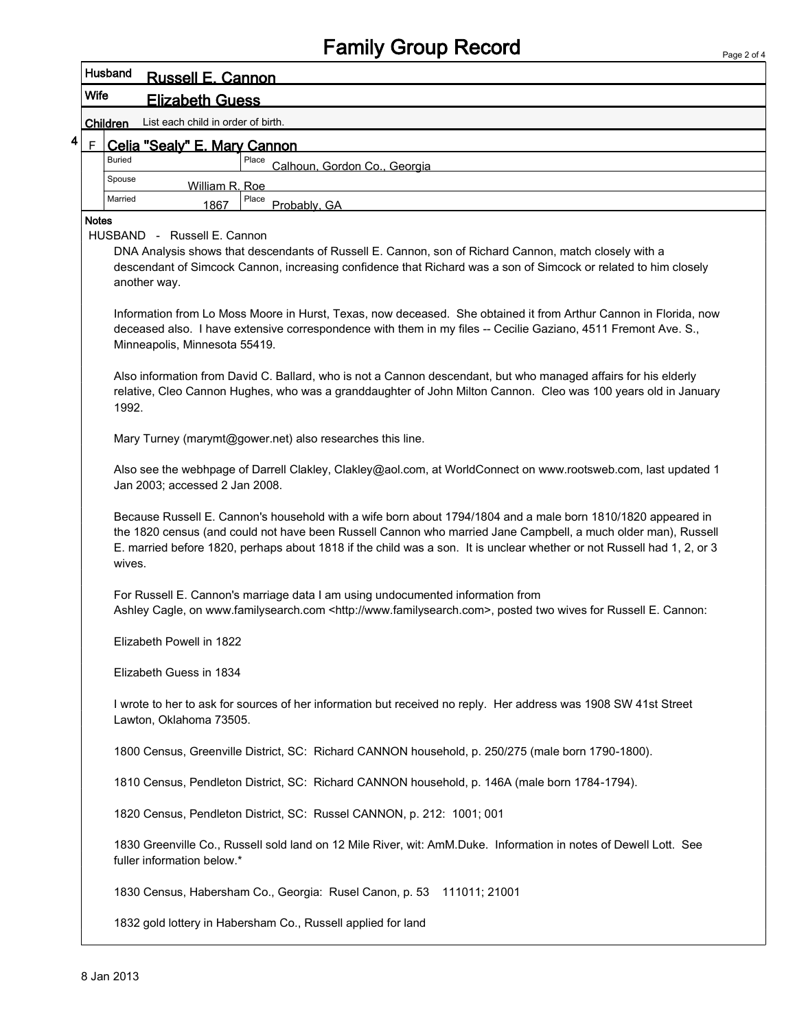## Family Group Record

| Husband<br><b>Russell E. Cannon</b>                                            |                                                                                                                                                                                                                                                                                                                                                                                                                                                                                                                                                                |                                                                                                                                                                                                                                                                                                                                                                   |  |  |  |  |  |
|--------------------------------------------------------------------------------|----------------------------------------------------------------------------------------------------------------------------------------------------------------------------------------------------------------------------------------------------------------------------------------------------------------------------------------------------------------------------------------------------------------------------------------------------------------------------------------------------------------------------------------------------------------|-------------------------------------------------------------------------------------------------------------------------------------------------------------------------------------------------------------------------------------------------------------------------------------------------------------------------------------------------------------------|--|--|--|--|--|
|                                                                                |                                                                                                                                                                                                                                                                                                                                                                                                                                                                                                                                                                | <b>Wife</b><br><b>Elizabeth Guess</b>                                                                                                                                                                                                                                                                                                                             |  |  |  |  |  |
|                                                                                | List each child in order of birth.<br><b>Children</b>                                                                                                                                                                                                                                                                                                                                                                                                                                                                                                          |                                                                                                                                                                                                                                                                                                                                                                   |  |  |  |  |  |
| 4                                                                              | $\mathsf F$                                                                                                                                                                                                                                                                                                                                                                                                                                                                                                                                                    | Celia "Sealy" E. Mary Cannon                                                                                                                                                                                                                                                                                                                                      |  |  |  |  |  |
|                                                                                |                                                                                                                                                                                                                                                                                                                                                                                                                                                                                                                                                                | <b>Buried</b><br>Place<br>Calhoun, Gordon Co., Georgia                                                                                                                                                                                                                                                                                                            |  |  |  |  |  |
|                                                                                |                                                                                                                                                                                                                                                                                                                                                                                                                                                                                                                                                                | Spouse<br>William R. Roe                                                                                                                                                                                                                                                                                                                                          |  |  |  |  |  |
|                                                                                |                                                                                                                                                                                                                                                                                                                                                                                                                                                                                                                                                                | Place<br>Married<br>Probably, GA<br>1867                                                                                                                                                                                                                                                                                                                          |  |  |  |  |  |
|                                                                                | <b>Notes</b><br>HUSBAND - Russell E. Cannon<br>DNA Analysis shows that descendants of Russell E. Cannon, son of Richard Cannon, match closely with a<br>descendant of Simcock Cannon, increasing confidence that Richard was a son of Simcock or related to him closely<br>another way.<br>Information from Lo Moss Moore in Hurst, Texas, now deceased. She obtained it from Arthur Cannon in Florida, now<br>deceased also. I have extensive correspondence with them in my files -- Cecilie Gaziano, 4511 Fremont Ave. S.,<br>Minneapolis, Minnesota 55419. |                                                                                                                                                                                                                                                                                                                                                                   |  |  |  |  |  |
| 1992.                                                                          |                                                                                                                                                                                                                                                                                                                                                                                                                                                                                                                                                                | Also information from David C. Ballard, who is not a Cannon descendant, but who managed affairs for his elderly<br>relative, Cleo Cannon Hughes, who was a granddaughter of John Milton Cannon. Cleo was 100 years old in January                                                                                                                                 |  |  |  |  |  |
|                                                                                |                                                                                                                                                                                                                                                                                                                                                                                                                                                                                                                                                                | Mary Turney (marymt@gower.net) also researches this line.                                                                                                                                                                                                                                                                                                         |  |  |  |  |  |
|                                                                                |                                                                                                                                                                                                                                                                                                                                                                                                                                                                                                                                                                | Also see the webhpage of Darrell Clakley, Clakley@aol.com, at WorldConnect on www.rootsweb.com, last updated 1<br>Jan 2003; accessed 2 Jan 2008.                                                                                                                                                                                                                  |  |  |  |  |  |
|                                                                                |                                                                                                                                                                                                                                                                                                                                                                                                                                                                                                                                                                | Because Russell E. Cannon's household with a wife born about 1794/1804 and a male born 1810/1820 appeared in<br>the 1820 census (and could not have been Russell Cannon who married Jane Campbell, a much older man), Russell<br>E. married before 1820, perhaps about 1818 if the child was a son. It is unclear whether or not Russell had 1, 2, or 3<br>wives. |  |  |  |  |  |
| For Russell E. Cannon's marriage data I am using undocumented information from |                                                                                                                                                                                                                                                                                                                                                                                                                                                                                                                                                                | Ashley Cagle, on www.familysearch.com <http: www.familysearch.com="">, posted two wives for Russell E. Cannon:</http:>                                                                                                                                                                                                                                            |  |  |  |  |  |
|                                                                                |                                                                                                                                                                                                                                                                                                                                                                                                                                                                                                                                                                | Elizabeth Powell in 1822                                                                                                                                                                                                                                                                                                                                          |  |  |  |  |  |
|                                                                                |                                                                                                                                                                                                                                                                                                                                                                                                                                                                                                                                                                | Elizabeth Guess in 1834                                                                                                                                                                                                                                                                                                                                           |  |  |  |  |  |
|                                                                                |                                                                                                                                                                                                                                                                                                                                                                                                                                                                                                                                                                | I wrote to her to ask for sources of her information but received no reply. Her address was 1908 SW 41st Street<br>Lawton, Oklahoma 73505.                                                                                                                                                                                                                        |  |  |  |  |  |
|                                                                                |                                                                                                                                                                                                                                                                                                                                                                                                                                                                                                                                                                | 1800 Census, Greenville District, SC: Richard CANNON household, p. 250/275 (male born 1790-1800).                                                                                                                                                                                                                                                                 |  |  |  |  |  |
|                                                                                |                                                                                                                                                                                                                                                                                                                                                                                                                                                                                                                                                                | 1810 Census, Pendleton District, SC: Richard CANNON household, p. 146A (male born 1784-1794).                                                                                                                                                                                                                                                                     |  |  |  |  |  |
|                                                                                |                                                                                                                                                                                                                                                                                                                                                                                                                                                                                                                                                                | 1820 Census, Pendleton District, SC: Russel CANNON, p. 212: 1001; 001                                                                                                                                                                                                                                                                                             |  |  |  |  |  |
|                                                                                |                                                                                                                                                                                                                                                                                                                                                                                                                                                                                                                                                                | 1830 Greenville Co., Russell sold land on 12 Mile River, wit: AmM.Duke. Information in notes of Dewell Lott. See<br>fuller information below.*                                                                                                                                                                                                                    |  |  |  |  |  |
|                                                                                |                                                                                                                                                                                                                                                                                                                                                                                                                                                                                                                                                                | 1830 Census, Habersham Co., Georgia: Rusel Canon, p. 53 111011; 21001                                                                                                                                                                                                                                                                                             |  |  |  |  |  |
|                                                                                |                                                                                                                                                                                                                                                                                                                                                                                                                                                                                                                                                                | 1832 gold lottery in Habersham Co., Russell applied for land                                                                                                                                                                                                                                                                                                      |  |  |  |  |  |
|                                                                                |                                                                                                                                                                                                                                                                                                                                                                                                                                                                                                                                                                |                                                                                                                                                                                                                                                                                                                                                                   |  |  |  |  |  |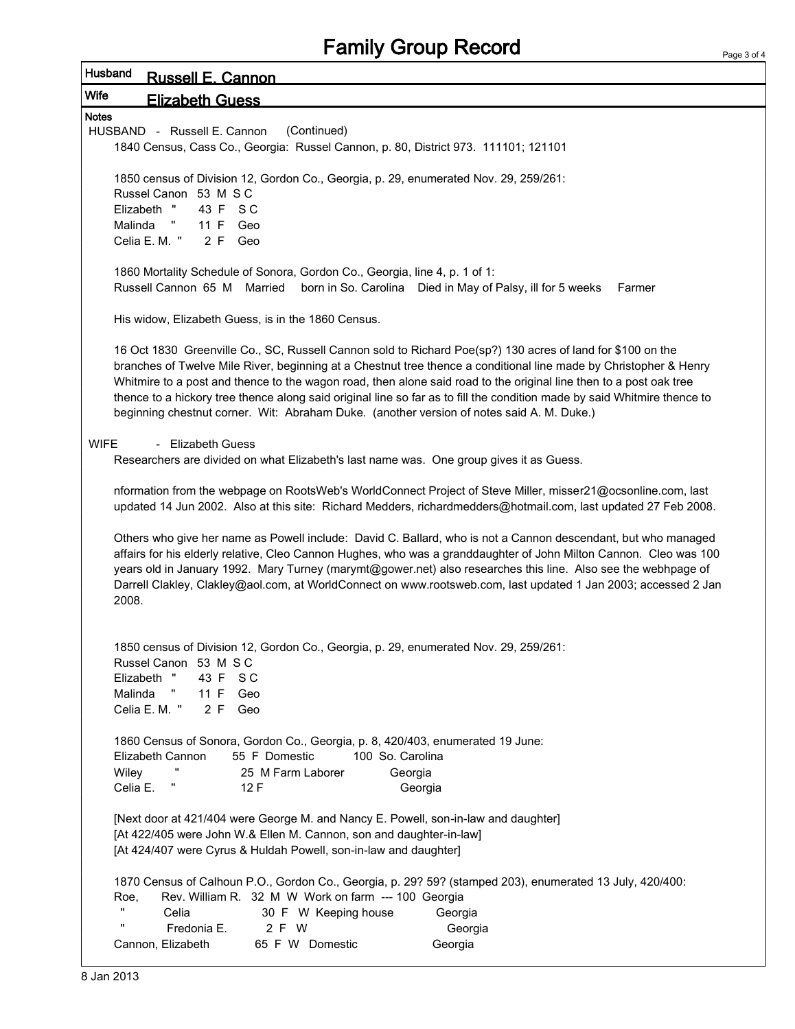| Husband      | <b>Russell E. Cannon</b>                                                                                                                                                                                                                |  |  |  |  |
|--------------|-----------------------------------------------------------------------------------------------------------------------------------------------------------------------------------------------------------------------------------------|--|--|--|--|
| Wife         | <b>Elizabeth Guess</b>                                                                                                                                                                                                                  |  |  |  |  |
| <b>Notes</b> |                                                                                                                                                                                                                                         |  |  |  |  |
|              | HUSBAND - Russell E. Cannon<br>(Continued)                                                                                                                                                                                              |  |  |  |  |
|              | 1840 Census, Cass Co., Georgia: Russel Cannon, p. 80, District 973. 111101; 121101                                                                                                                                                      |  |  |  |  |
|              | 1850 census of Division 12, Gordon Co., Georgia, p. 29, enumerated Nov. 29, 259/261:                                                                                                                                                    |  |  |  |  |
|              | Russel Canon 53 M S C                                                                                                                                                                                                                   |  |  |  |  |
|              | Elizabeth "<br>43 F SC<br>Malinda<br>11 F Geo<br>Ч.                                                                                                                                                                                     |  |  |  |  |
|              | Celia E. M. "<br>2 F Geo                                                                                                                                                                                                                |  |  |  |  |
|              |                                                                                                                                                                                                                                         |  |  |  |  |
|              | 1860 Mortality Schedule of Sonora, Gordon Co., Georgia, line 4, p. 1 of 1:                                                                                                                                                              |  |  |  |  |
|              | Russell Cannon 65 M Married<br>born in So. Carolina Died in May of Palsy, ill for 5 weeks<br>Farmer                                                                                                                                     |  |  |  |  |
|              | His widow, Elizabeth Guess, is in the 1860 Census.                                                                                                                                                                                      |  |  |  |  |
|              |                                                                                                                                                                                                                                         |  |  |  |  |
|              | 16 Oct 1830 Greenville Co., SC, Russell Cannon sold to Richard Poe(sp?) 130 acres of land for \$100 on the                                                                                                                              |  |  |  |  |
|              | branches of Twelve Mile River, beginning at a Chestnut tree thence a conditional line made by Christopher & Henry<br>Whitmire to a post and thence to the wagon road, then alone said road to the original line then to a post oak tree |  |  |  |  |
|              | thence to a hickory tree thence along said original line so far as to fill the condition made by said Whitmire thence to                                                                                                                |  |  |  |  |
|              | beginning chestnut corner. Wit: Abraham Duke. (another version of notes said A. M. Duke.)                                                                                                                                               |  |  |  |  |
|              | - Elizabeth Guess                                                                                                                                                                                                                       |  |  |  |  |
| <b>WIFE</b>  | Researchers are divided on what Elizabeth's last name was. One group gives it as Guess.                                                                                                                                                 |  |  |  |  |
|              |                                                                                                                                                                                                                                         |  |  |  |  |
|              | nformation from the webpage on RootsWeb's WorldConnect Project of Steve Miller, misser21@ocsonline.com, last                                                                                                                            |  |  |  |  |
|              | updated 14 Jun 2002. Also at this site: Richard Medders, richardmedders@hotmail.com, last updated 27 Feb 2008.                                                                                                                          |  |  |  |  |
|              | Others who give her name as Powell include: David C. Ballard, who is not a Cannon descendant, but who managed                                                                                                                           |  |  |  |  |
|              | affairs for his elderly relative, Cleo Cannon Hughes, who was a granddaughter of John Milton Cannon. Cleo was 100                                                                                                                       |  |  |  |  |
|              | years old in January 1992. Mary Turney (marymt@gower.net) also researches this line. Also see the webhpage of                                                                                                                           |  |  |  |  |
|              | Darrell Clakley, Clakley@aol.com, at WorldConnect on www.rootsweb.com, last updated 1 Jan 2003; accessed 2 Jan<br>2008.                                                                                                                 |  |  |  |  |
|              |                                                                                                                                                                                                                                         |  |  |  |  |
|              |                                                                                                                                                                                                                                         |  |  |  |  |
|              | 1850 census of Division 12, Gordon Co., Georgia, p. 29, enumerated Nov. 29, 259/261:<br>Russel Canon 53 M S C                                                                                                                           |  |  |  |  |
|              | Elizabeth "<br>43 F SC                                                                                                                                                                                                                  |  |  |  |  |
|              | Malinda<br>л,<br>11 F<br>Geo                                                                                                                                                                                                            |  |  |  |  |
|              | Celia E. M. "<br>2 F Geo                                                                                                                                                                                                                |  |  |  |  |
|              | 1860 Census of Sonora, Gordon Co., Georgia, p. 8, 420/403, enumerated 19 June:                                                                                                                                                          |  |  |  |  |
|              | 55 F Domestic<br>100 So. Carolina<br>Elizabeth Cannon                                                                                                                                                                                   |  |  |  |  |
|              | "<br>Wiley<br>25 M Farm Laborer<br>Georgia                                                                                                                                                                                              |  |  |  |  |
|              | Celia E.<br>12F<br>Georgia                                                                                                                                                                                                              |  |  |  |  |
|              |                                                                                                                                                                                                                                         |  |  |  |  |
|              | [Next door at 421/404 were George M. and Nancy E. Powell, son-in-law and daughter]<br>[At 422/405 were John W.& Ellen M. Cannon, son and daughter-in-law]                                                                               |  |  |  |  |
|              | [At 424/407 were Cyrus & Huldah Powell, son-in-law and daughter]                                                                                                                                                                        |  |  |  |  |
|              |                                                                                                                                                                                                                                         |  |  |  |  |
|              | 1870 Census of Calhoun P.O., Gordon Co., Georgia, p. 29? 59? (stamped 203), enumerated 13 July, 420/400:<br>Rev. William R. 32 M W Work on farm --- 100 Georgia<br>Roe,                                                                 |  |  |  |  |
|              | Celia<br>30 F W Keeping house<br>Georgia                                                                                                                                                                                                |  |  |  |  |
|              | "<br>2 F W<br>Fredonia E.<br>Georgia                                                                                                                                                                                                    |  |  |  |  |
|              | Cannon, Elizabeth<br>65 F W Domestic<br>Georgia                                                                                                                                                                                         |  |  |  |  |
|              |                                                                                                                                                                                                                                         |  |  |  |  |